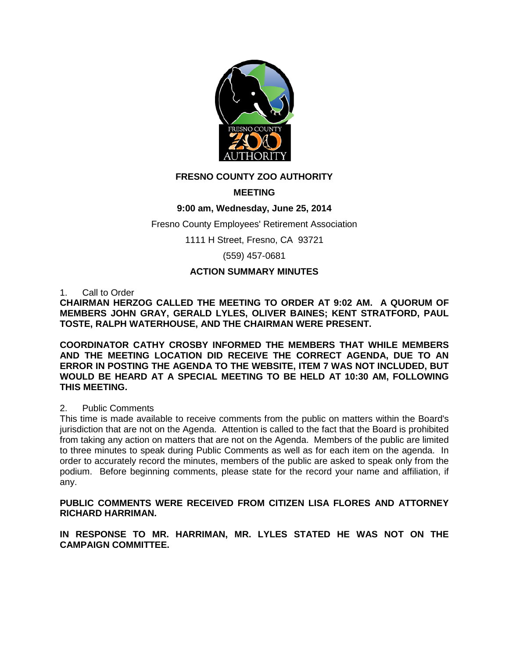

# **FRESNO COUNTY ZOO AUTHORITY**

# **MEETING**

## **9:00 am, Wednesday, June 25, 2014**

### Fresno County Employees' Retirement Association

1111 H Street, Fresno, CA 93721

(559) 457-0681

### **ACTION SUMMARY MINUTES**

1. Call to Order

**CHAIRMAN HERZOG CALLED THE MEETING TO ORDER AT 9:02 AM. A QUORUM OF MEMBERS JOHN GRAY, GERALD LYLES, OLIVER BAINES; KENT STRATFORD, PAUL TOSTE, RALPH WATERHOUSE, AND THE CHAIRMAN WERE PRESENT.** 

**COORDINATOR CATHY CROSBY INFORMED THE MEMBERS THAT WHILE MEMBERS AND THE MEETING LOCATION DID RECEIVE THE CORRECT AGENDA, DUE TO AN ERROR IN POSTING THE AGENDA TO THE WEBSITE, ITEM 7 WAS NOT INCLUDED, BUT WOULD BE HEARD AT A SPECIAL MEETING TO BE HELD AT 10:30 AM, FOLLOWING THIS MEETING.** 

#### 2. Public Comments

This time is made available to receive comments from the public on matters within the Board's jurisdiction that are not on the Agenda. Attention is called to the fact that the Board is prohibited from taking any action on matters that are not on the Agenda. Members of the public are limited to three minutes to speak during Public Comments as well as for each item on the agenda. In order to accurately record the minutes, members of the public are asked to speak only from the podium. Before beginning comments, please state for the record your name and affiliation, if any.

**PUBLIC COMMENTS WERE RECEIVED FROM CITIZEN LISA FLORES AND ATTORNEY RICHARD HARRIMAN.**

**IN RESPONSE TO MR. HARRIMAN, MR. LYLES STATED HE WAS NOT ON THE CAMPAIGN COMMITTEE.**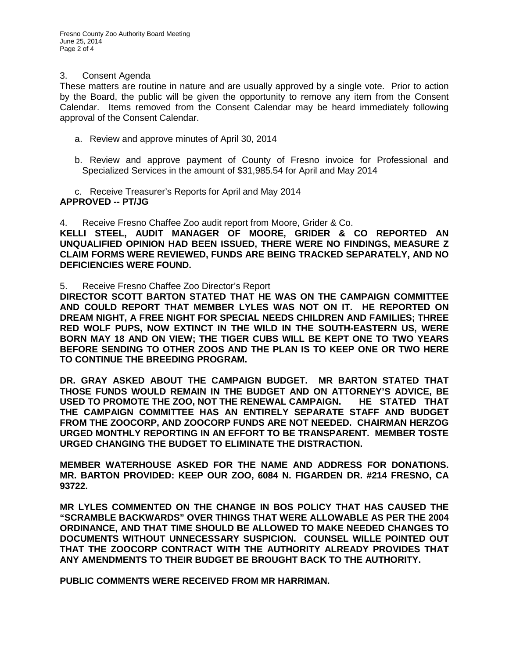#### 3. Consent Agenda

These matters are routine in nature and are usually approved by a single vote. Prior to action by the Board, the public will be given the opportunity to remove any item from the Consent Calendar. Items removed from the Consent Calendar may be heard immediately following approval of the Consent Calendar.

- a. Review and approve minutes of April 30, 2014
- b. Review and approve payment of County of Fresno invoice for Professional and Specialized Services in the amount of \$31,985.54 for April and May 2014

c. Receive Treasurer's Reports for April and May 2014 **APPROVED -- PT/JG**

4. Receive Fresno Chaffee Zoo audit report from Moore, Grider & Co. **KELLI STEEL, AUDIT MANAGER OF MOORE, GRIDER & CO REPORTED AN UNQUALIFIED OPINION HAD BEEN ISSUED, THERE WERE NO FINDINGS, MEASURE Z CLAIM FORMS WERE REVIEWED, FUNDS ARE BEING TRACKED SEPARATELY, AND NO DEFICIENCIES WERE FOUND.**

5. Receive Fresno Chaffee Zoo Director's Report

**DIRECTOR SCOTT BARTON STATED THAT HE WAS ON THE CAMPAIGN COMMITTEE AND COULD REPORT THAT MEMBER LYLES WAS NOT ON IT. HE REPORTED ON DREAM NIGHT, A FREE NIGHT FOR SPECIAL NEEDS CHILDREN AND FAMILIES; THREE RED WOLF PUPS, NOW EXTINCT IN THE WILD IN THE SOUTH-EASTERN US, WERE BORN MAY 18 AND ON VIEW; THE TIGER CUBS WILL BE KEPT ONE TO TWO YEARS BEFORE SENDING TO OTHER ZOOS AND THE PLAN IS TO KEEP ONE OR TWO HERE TO CONTINUE THE BREEDING PROGRAM.**

**DR. GRAY ASKED ABOUT THE CAMPAIGN BUDGET. MR BARTON STATED THAT THOSE FUNDS WOULD REMAIN IN THE BUDGET AND ON ATTORNEY'S ADVICE, BE USED TO PROMOTE THE ZOO, NOT THE RENEWAL CAMPAIGN. HE STATED THAT THE CAMPAIGN COMMITTEE HAS AN ENTIRELY SEPARATE STAFF AND BUDGET FROM THE ZOOCORP, AND ZOOCORP FUNDS ARE NOT NEEDED. CHAIRMAN HERZOG URGED MONTHLY REPORTING IN AN EFFORT TO BE TRANSPARENT. MEMBER TOSTE URGED CHANGING THE BUDGET TO ELIMINATE THE DISTRACTION.** 

**MEMBER WATERHOUSE ASKED FOR THE NAME AND ADDRESS FOR DONATIONS. MR. BARTON PROVIDED: KEEP OUR ZOO, 6084 N. FIGARDEN DR. #214 FRESNO, CA 93722.**

**MR LYLES COMMENTED ON THE CHANGE IN BOS POLICY THAT HAS CAUSED THE "SCRAMBLE BACKWARDS" OVER THINGS THAT WERE ALLOWABLE AS PER THE 2004 ORDINANCE, AND THAT TIME SHOULD BE ALLOWED TO MAKE NEEDED CHANGES TO DOCUMENTS WITHOUT UNNECESSARY SUSPICION. COUNSEL WILLE POINTED OUT THAT THE ZOOCORP CONTRACT WITH THE AUTHORITY ALREADY PROVIDES THAT ANY AMENDMENTS TO THEIR BUDGET BE BROUGHT BACK TO THE AUTHORITY.**

**PUBLIC COMMENTS WERE RECEIVED FROM MR HARRIMAN.**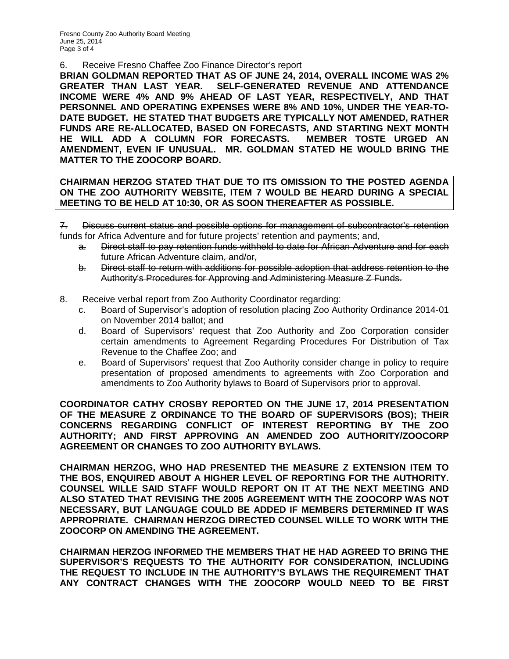Fresno County Zoo Authority Board Meeting June 25, 2014 Page 3 of 4

6. Receive Fresno Chaffee Zoo Finance Director's report

**BRIAN GOLDMAN REPORTED THAT AS OF JUNE 24, 2014, OVERALL INCOME WAS 2% GREATER THAN LAST YEAR. SELF-GENERATED REVENUE AND ATTENDANCE INCOME WERE 4% AND 9% AHEAD OF LAST YEAR, RESPECTIVELY, AND THAT PERSONNEL AND OPERATING EXPENSES WERE 8% AND 10%, UNDER THE YEAR-TO-DATE BUDGET. HE STATED THAT BUDGETS ARE TYPICALLY NOT AMENDED, RATHER FUNDS ARE RE-ALLOCATED, BASED ON FORECASTS, AND STARTING NEXT MONTH HE WILL ADD A COLUMN FOR FORECASTS. MEMBER TOSTE URGED AN AMENDMENT, EVEN IF UNUSUAL. MR. GOLDMAN STATED HE WOULD BRING THE MATTER TO THE ZOOCORP BOARD.**

## **CHAIRMAN HERZOG STATED THAT DUE TO ITS OMISSION TO THE POSTED AGENDA ON THE ZOO AUTHORITY WEBSITE, ITEM 7 WOULD BE HEARD DURING A SPECIAL MEETING TO BE HELD AT 10:30, OR AS SOON THEREAFTER AS POSSIBLE.**

7. Discuss current status and possible options for management of subcontractor's retention funds for Africa Adventure and for future projects' retention and payments; and,

- a. Direct staff to pay retention funds withheld to date for African Adventure and for each future African Adventure claim, and/or,
- b. Direct staff to return with additions for possible adoption that address retention to the Authority's Procedures for Approving and Administering Measure Z Funds.
- 8. Receive verbal report from Zoo Authority Coordinator regarding:
	- c. Board of Supervisor's adoption of resolution placing Zoo Authority Ordinance 2014-01 on November 2014 ballot; and
	- d. Board of Supervisors' request that Zoo Authority and Zoo Corporation consider certain amendments to Agreement Regarding Procedures For Distribution of Tax Revenue to the Chaffee Zoo; and
	- e. Board of Supervisors' request that Zoo Authority consider change in policy to require presentation of proposed amendments to agreements with Zoo Corporation and amendments to Zoo Authority bylaws to Board of Supervisors prior to approval.

**COORDINATOR CATHY CROSBY REPORTED ON THE JUNE 17, 2014 PRESENTATION OF THE MEASURE Z ORDINANCE TO THE BOARD OF SUPERVISORS (BOS); THEIR CONCERNS REGARDING CONFLICT OF INTEREST REPORTING BY THE ZOO AUTHORITY; AND FIRST APPROVING AN AMENDED ZOO AUTHORITY/ZOOCORP AGREEMENT OR CHANGES TO ZOO AUTHORITY BYLAWS.**

**CHAIRMAN HERZOG, WHO HAD PRESENTED THE MEASURE Z EXTENSION ITEM TO THE BOS, ENQUIRED ABOUT A HIGHER LEVEL OF REPORTING FOR THE AUTHORITY. COUNSEL WILLE SAID STAFF WOULD REPORT ON IT AT THE NEXT MEETING AND ALSO STATED THAT REVISING THE 2005 AGREEMENT WITH THE ZOOCORP WAS NOT NECESSARY, BUT LANGUAGE COULD BE ADDED IF MEMBERS DETERMINED IT WAS APPROPRIATE. CHAIRMAN HERZOG DIRECTED COUNSEL WILLE TO WORK WITH THE ZOOCORP ON AMENDING THE AGREEMENT.**

**CHAIRMAN HERZOG INFORMED THE MEMBERS THAT HE HAD AGREED TO BRING THE SUPERVISOR'S REQUESTS TO THE AUTHORITY FOR CONSIDERATION, INCLUDING THE REQUEST TO INCLUDE IN THE AUTHORITY'S BYLAWS THE REQUIREMENT THAT ANY CONTRACT CHANGES WITH THE ZOOCORP WOULD NEED TO BE FIRST**